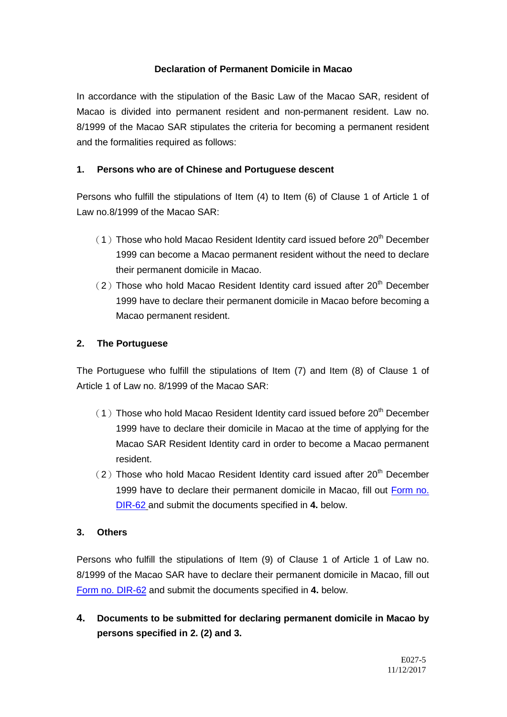## **Declaration of Permanent Domicile in Macao**

In accordance with the stipulation of the Basic Law of the Macao SAR, resident of Macao is divided into permanent resident and non-permanent resident. Law no. 8/1999 of the Macao SAR stipulates the criteria for becoming a permanent resident and the formalities required as follows:

# **1. Persons who are of Chinese and Portuguese descent**

Persons who fulfill the stipulations of Item (4) to Item (6) of Clause 1 of Article 1 of Law no.8/1999 of the Macao SAR:

- $(1)$  Those who hold Macao Resident Identity card issued before 20<sup>th</sup> December 1999 can become a Macao permanent resident without the need to declare their permanent domicile in Macao.
- $(2)$  Those who hold Macao Resident Identity card issued after 20<sup>th</sup> December 1999 have to declare their permanent domicile in Macao before becoming a Macao permanent resident.

## **2. The Portuguese**

The Portuguese who fulfill the stipulations of Item (7) and Item (8) of Clause 1 of Article 1 of Law no. 8/1999 of the Macao SAR:

- $(1)$  Those who hold Macao Resident Identity card issued before 20<sup>th</sup> December 1999 have to declare their domicile in Macao at the time of applying for the Macao SAR Resident Identity card in order to become a Macao permanent resident.
- $(2)$  Those who hold Macao Resident Identity card issued after 20<sup>th</sup> December 1999 have to declare their permanent domicile in Macao, fill out [Form no.](http://dsi.gov.mo/formsdownload_e.jsp)  [DIR-62](http://dsi.gov.mo/formsdownload_e.jsp) and submit the documents specified in **4.** below.

## **3. Others**

Persons who fulfill the stipulations of Item (9) of Clause 1 of Article 1 of Law no. 8/1999 of the Macao SAR have to declare their permanent domicile in Macao, fill out [Form no. DIR-62](http://dsi.gov.mo/formsdownload_e.jsp) and submit the documents specified in **4.** below.

**4. Documents to be submitted for declaring permanent domicile in Macao by persons specified in 2. (2) and 3.**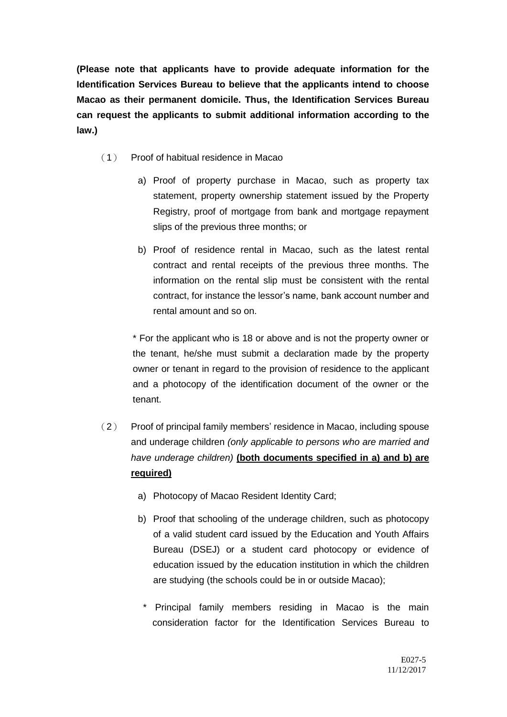**(Please note that applicants have to provide adequate information for the Identification Services Bureau to believe that the applicants intend to choose Macao as their permanent domicile. Thus, the Identification Services Bureau can request the applicants to submit additional information according to the law.)**

- (1) Proof of habitual residence in Macao
	- a) Proof of property purchase in Macao, such as property tax statement, property ownership statement issued by the Property Registry, proof of mortgage from bank and mortgage repayment slips of the previous three months; or
	- b) Proof of residence rental in Macao, such as the latest rental contract and rental receipts of the previous three months. The information on the rental slip must be consistent with the rental contract, for instance the lessor's name, bank account number and rental amount and so on.

\* For the applicant who is 18 or above and is not the property owner or the tenant, he/she must submit a declaration made by the property owner or tenant in regard to the provision of residence to the applicant and a photocopy of the identification document of the owner or the tenant.

- (2) Proof of principal family members' residence in Macao, including spouse and underage children *(only applicable to persons who are married and have underage children)* **(both documents specified in a) and b) are required)**
	- a) Photocopy of Macao Resident Identity Card;
	- b) Proof that schooling of the underage children, such as photocopy of a valid student card issued by the Education and Youth Affairs Bureau (DSEJ) or a student card photocopy or evidence of education issued by the education institution in which the children are studying (the schools could be in or outside Macao);
		- \* Principal family members residing in Macao is the main consideration factor for the Identification Services Bureau to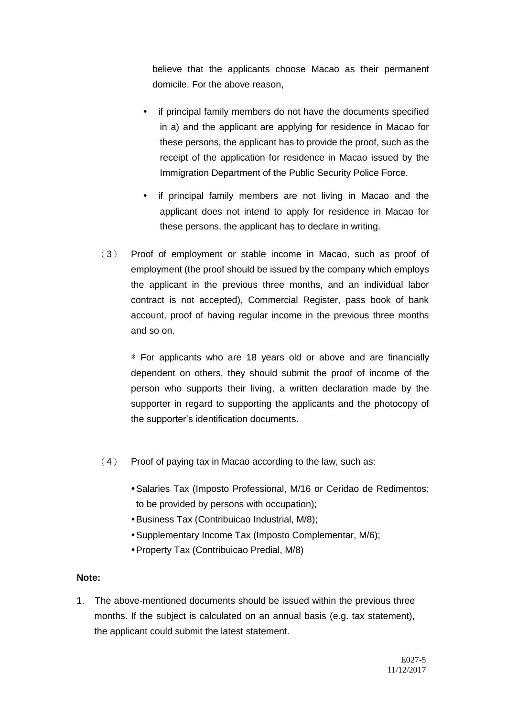believe that the applicants choose Macao as their permanent domicile. For the above reason,

- if principal family members do not have the documents specified in a) and the applicant are applying for residence in Macao for these persons, the applicant has to provide the proof, such as the receipt of the application for residence in Macao issued by the Immigration Department of the Public Security Police Force.
- if principal family members are not living in Macao and the applicant does not intend to apply for residence in Macao for these persons, the applicant has to declare in writing.
- (3) Proof of employment or stable income in Macao, such as proof of employment (the proof should be issued by the company which employs the applicant in the previous three months, and an individual labor contract is not accepted), Commercial Register, pass book of bank account, proof of having regular income in the previous three months and so on.

\* For applicants who are 18 years old or above and are financially dependent on others, they should submit the proof of income of the person who supports their living, a written declaration made by the supporter in regard to supporting the applicants and the photocopy of the supporter's identification documents.

- $(4)$  Proof of paying tax in Macao according to the law, such as:
	- Salaries Tax (Imposto Professional, M/16 or Ceridao de Redimentos; to be provided by persons with occupation);
	- Business Tax (Contribuicao Industrial, M/8);
	- Supplementary Income Tax (Imposto Complementar, M/6);
	- Property Tax (Contribuicao Predial, M/8)

#### **Note:**

1. The above-mentioned documents should be issued within the previous three months. If the subject is calculated on an annual basis (e.g. tax statement), the applicant could submit the latest statement.